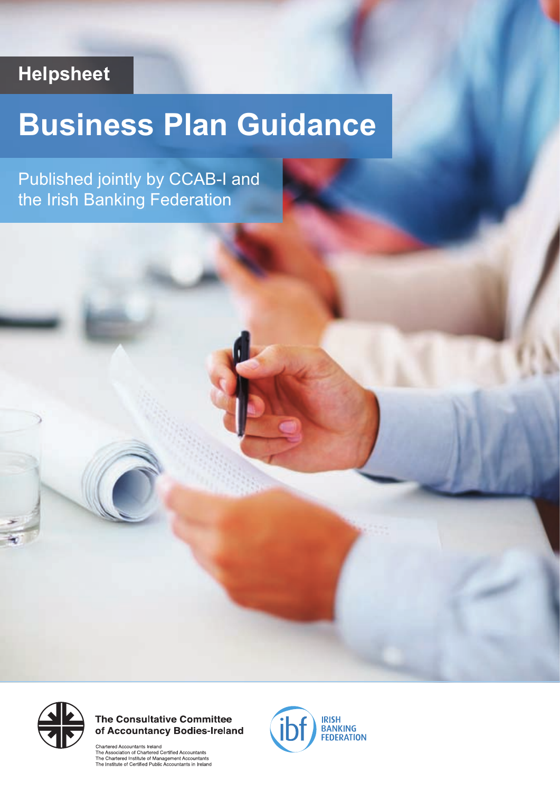## **Helpsheet**

# **Business Plan Guidance**

Published jointly by CCAB-I and the Irish Banking Federation



The Consultative Committee of Accountancy Bodies-Ireland

Chartered Accountants Ireland<br>The Association of Chartered Certified Accountants<br>The Chartered Institute of Management Accountants<br>The Institute of Certified Public Accountants in Ireland

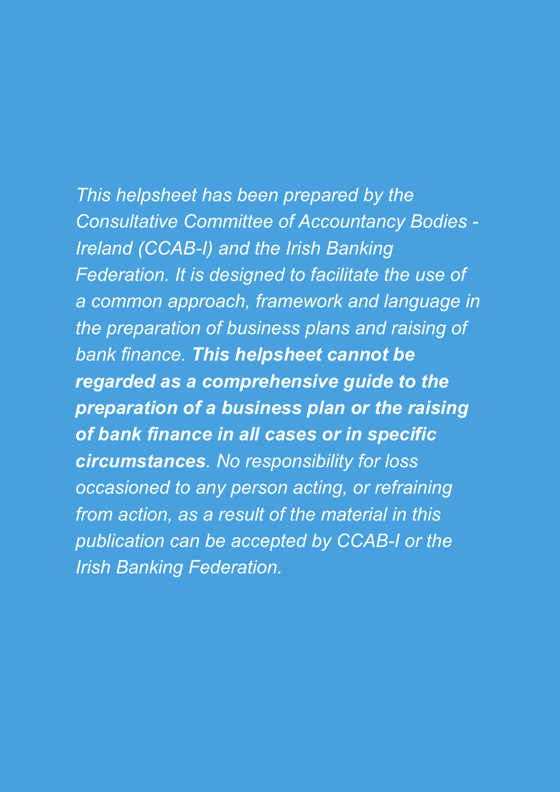*This helpsheet has been prepared by the Consultative Committee of Accountancy Bodies - Ireland (CCAB-I) and the Irish Banking Federation. It is designed to facilitate the use of a common approach, framework and language in the preparation of business plans and raising of bank finance. This helpsheet cannot be regarded as a comprehensive guide to the preparation of a business plan or the raising of bank finance in all cases or in specific circumstances. No responsibility for loss occasioned to any person acting, or refraining from action, as a result of the material in this publication can be accepted by CCAB-I or the Irish Banking Federation.*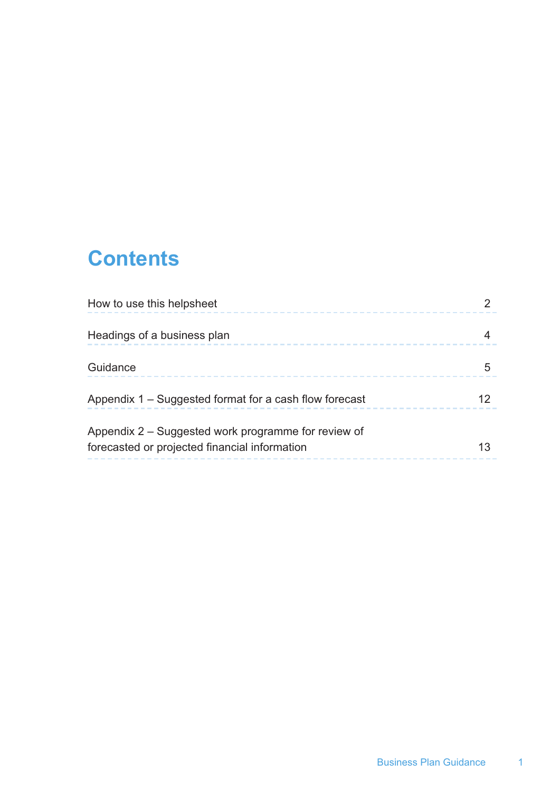## **Contents**

| How to use this helpsheet                                                                            |   |
|------------------------------------------------------------------------------------------------------|---|
| Headings of a business plan                                                                          |   |
| Guidance                                                                                             | h |
| Appendix 1 – Suggested format for a cash flow forecast                                               |   |
| Appendix 2 - Suggested work programme for review of<br>forecasted or projected financial information |   |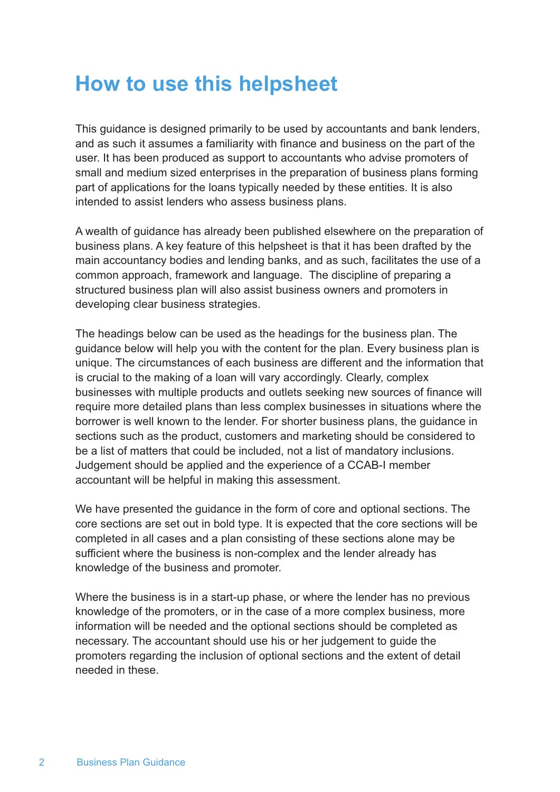## **How to use this helpsheet**

This guidance is designed primarily to be used by accountants and bank lenders, and as such it assumes a familiarity with finance and business on the part of the user. It has been produced as support to accountants who advise promoters of small and medium sized enterprises in the preparation of business plans forming part of applications for the loans typically needed by these entities. It is also intended to assist lenders who assess business plans.

A wealth of guidance has already been published elsewhere on the preparation of business plans. A key feature of this helpsheet is that it has been drafted by the main accountancy bodies and lending banks, and as such, facilitates the use of a common approach, framework and language. The discipline of preparing a structured business plan will also assist business owners and promoters in developing clear business strategies.

The headings below can be used as the headings for the business plan. The guidance below will help you with the content for the plan. Every business plan is unique. The circumstances of each business are different and the information that is crucial to the making of a loan will vary accordingly. Clearly, complex businesses with multiple products and outlets seeking new sources of finance will require more detailed plans than less complex businesses in situations where the borrower is well known to the lender. For shorter business plans, the guidance in sections such as the product, customers and marketing should be considered to be a list of matters that could be included, not a list of mandatory inclusions. Judgement should be applied and the experience of a CCAB-I member accountant will be helpful in making this assessment.

We have presented the guidance in the form of core and optional sections. The core sections are set out in bold type. It is expected that the core sections will be completed in all cases and a plan consisting of these sections alone may be sufficient where the business is non-complex and the lender already has knowledge of the business and promoter.

Where the business is in a start-up phase, or where the lender has no previous knowledge of the promoters, or in the case of a more complex business, more information will be needed and the optional sections should be completed as necessary. The accountant should use his or her judgement to guide the promoters regarding the inclusion of optional sections and the extent of detail needed in these.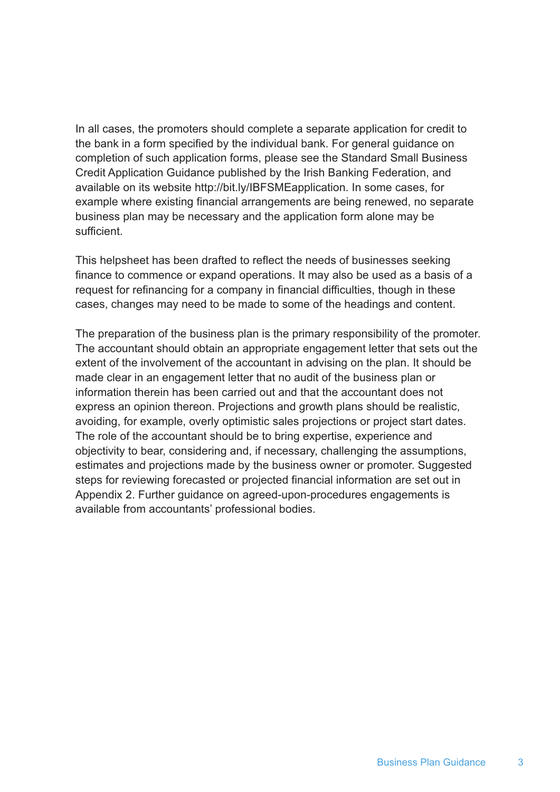In all cases, the promoters should complete a separate application for credit to the bank in a form specified by the individual bank. For general guidance on completion of such application forms, please see the Standard Small Business Credit Application Guidance published by the Irish Banking Federation, and available on its website http://bit.ly/IBFSMEapplication. In some cases, for example where existing financial arrangements are being renewed, no separate business plan may be necessary and the application form alone may be sufficient.

This helpsheet has been drafted to reflect the needs of businesses seeking finance to commence or expand operations. It may also be used as a basis of a request for refinancing for a company in financial difficulties, though in these cases, changes may need to be made to some of the headings and content.

The preparation of the business plan is the primary responsibility of the promoter. The accountant should obtain an appropriate engagement letter that sets out the extent of the involvement of the accountant in advising on the plan. It should be made clear in an engagement letter that no audit of the business plan or information therein has been carried out and that the accountant does not express an opinion thereon. Projections and growth plans should be realistic, avoiding, for example, overly optimistic sales projections or project start dates. The role of the accountant should be to bring expertise, experience and objectivity to bear, considering and, if necessary, challenging the assumptions, estimates and projections made by the business owner or promoter. Suggested steps for reviewing forecasted or projected financial information are set out in Appendix 2. Further guidance on agreed-upon-procedures engagements is available from accountants' professional bodies.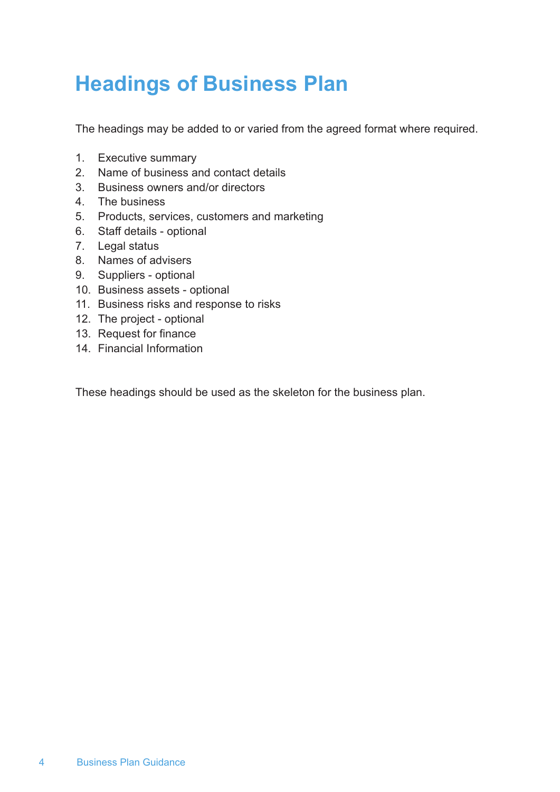## **Headings of Business Plan**

The headings may be added to or varied from the agreed format where required.

- 1. Executive summary
- 2. Name of business and contact details
- 3. Business owners and/or directors
- 4. The business
- 5. Products, services, customers and marketing
- 6. Staff details optional
- 7. Legal status
- 8. Names of advisers
- 9. Suppliers optional
- 10. Business assets optional
- 11. Business risks and response to risks
- 12. The project optional
- 13. Request for finance
- 14. Financial Information

These headings should be used as the skeleton for the business plan.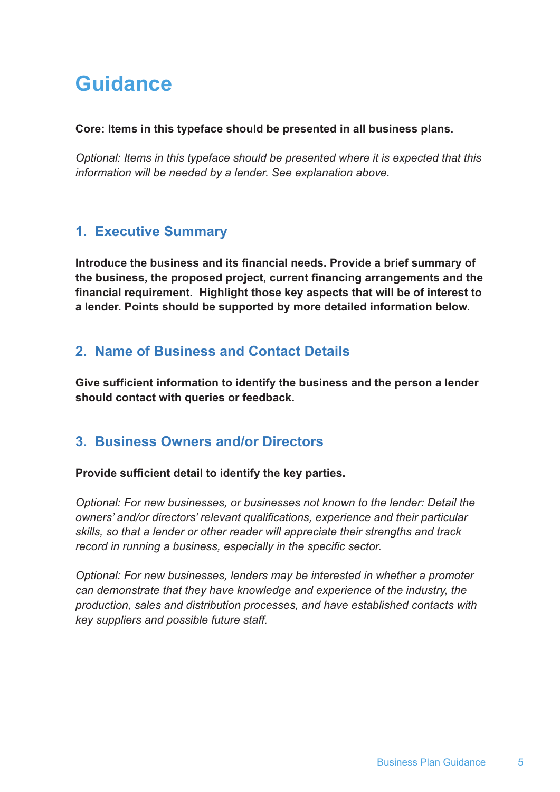## **Guidance**

**Core: Items in this typeface should be presented in all business plans.**

*Optional: Items in this typeface should be presented where it is expected that this information will be needed by a lender. See explanation above.*

## **1. Executive Summary**

**Introduce the business and its financial needs. Provide a brief summary of the business, the proposed project, current financing arrangements and the financial requirement. Highlight those key aspects that will be of interest to a lender. Points should be supported by more detailed information below.**

## **2. Name of Business and Contact Details**

**Give sufficient information to identify the business and the person a lender should contact with queries or feedback.**

## **3. Business Owners and/or Directors**

**Provide sufficient detail to identify the key parties.**

*Optional: For new businesses, or businesses not known to the lender: Detail the owners' and/or directors' relevant qualifications, experience and their particular skills, so that a lender or other reader will appreciate their strengths and track record in running a business, especially in the specific sector.*

*Optional: For new businesses, lenders may be interested in whether a promoter can demonstrate that they have knowledge and experience of the industry, the production, sales and distribution processes, and have established contacts with key suppliers and possible future staff.*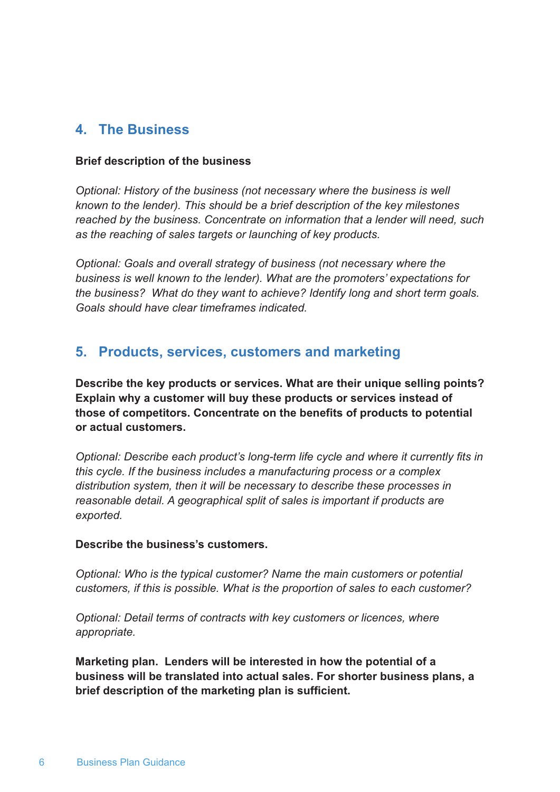## **4. The Business**

#### **Brief description of the business**

*Optional: History of the business (not necessary where the business is well known to the lender). This should be a brief description of the key milestones reached by the business. Concentrate on information that a lender will need, such as the reaching of sales targets or launching of key products.*

*Optional: Goals and overall strategy of business (not necessary where the business is well known to the lender). What are the promoters' expectations for the business? What do they want to achieve? Identify long and short term goals. Goals should have clear timeframes indicated.*

### **5. Products, services, customers and marketing**

**Describe the key products or services. What are their unique selling points? Explain why a customer will buy these products or services instead of those of competitors. Concentrate on the benefits of products to potential or actual customers.**

*Optional: Describe each product's long-term life cycle and where it currently fits in this cycle. If the business includes a manufacturing process or a complex distribution system, then it will be necessary to describe these processes in reasonable detail. A geographical split of sales is important if products are exported.*

#### **Describe the business's customers.**

*Optional: Who is the typical customer? Name the main customers or potential customers, if this is possible. What is the proportion of sales to each customer?*

*Optional: Detail terms of contracts with key customers or licences, where appropriate.*

**Marketing plan. Lenders will be interested in how the potential of a business will be translated into actual sales. For shorter business plans, a brief description of the marketing plan is sufficient.**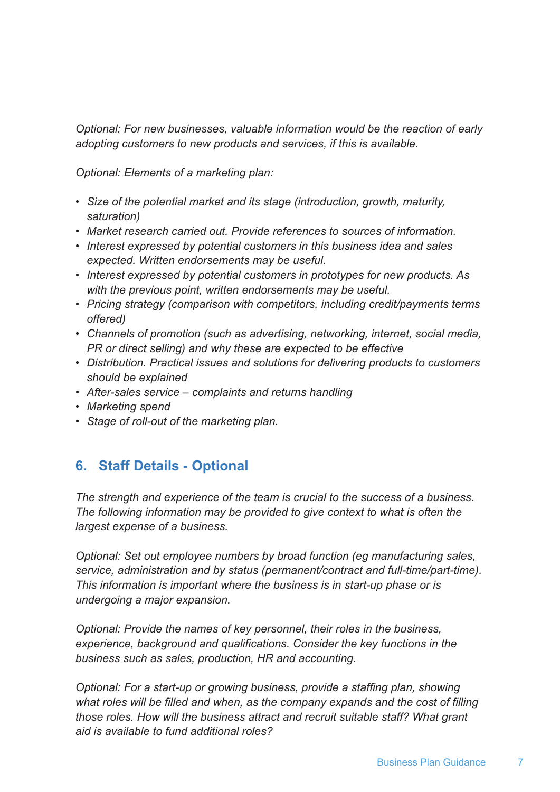*Optional: For new businesses, valuable information would be the reaction of early adopting customers to new products and services, if this is available.*

*Optional: Elements of a marketing plan:*

- *Size of the potential market and its stage (introduction, growth, maturity, saturation)*
- *Market research carried out. Provide references to sources of information.*
- *Interest expressed by potential customers in this business idea and sales expected. Written endorsements may be useful.*
- *Interest expressed by potential customers in prototypes for new products. As with the previous point, written endorsements may be useful.*
- *Pricing strategy (comparison with competitors, including credit/payments terms offered)*
- *Channels of promotion (such as advertising, networking, internet, social media, PR or direct selling) and why these are expected to be effective*
- *Distribution. Practical issues and solutions for delivering products to customers should be explained*
- *After-sales service complaints and returns handling*
- *Marketing spend*
- *Stage of roll-out of the marketing plan.*

## **6. Staff Details - Optional**

*The strength and experience of the team is crucial to the success of a business. The following information may be provided to give context to what is often the largest expense of a business.*

*Optional: Set out employee numbers by broad function (eg manufacturing sales, service, administration and by status (permanent/contract and full-time/part-time). This information is important where the business is in start-up phase or is undergoing a major expansion.*

*Optional: Provide the names of key personnel, their roles in the business, experience, background and qualifications. Consider the key functions in the business such as sales, production, HR and accounting.*

*Optional: For a start-up or growing business, provide a staffing plan, showing what roles will be filled and when, as the company expands and the cost of filling those roles. How will the business attract and recruit suitable staff? What grant aid is available to fund additional roles?*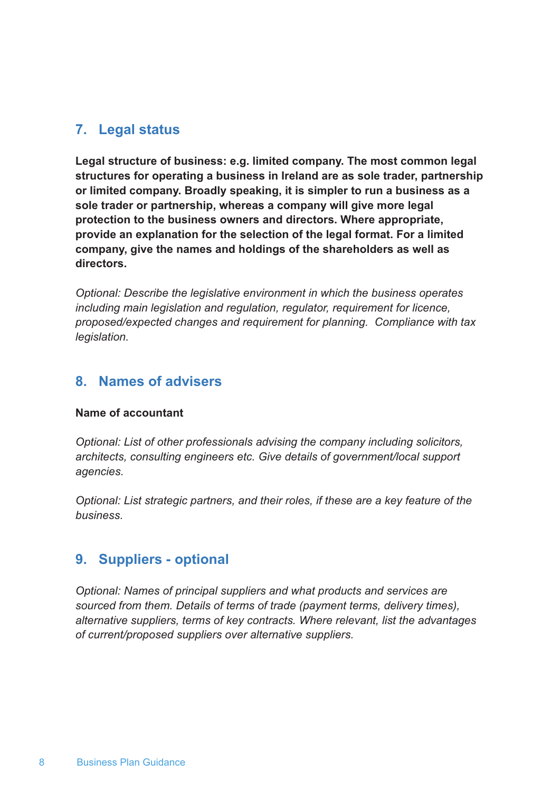### **7. Legal status**

**Legal structure of business: e.g. limited company. The most common legal structures for operating a business in Ireland are as sole trader, partnership or limited company. Broadly speaking, it is simpler to run a business as a sole trader or partnership, whereas a company will give more legal protection to the business owners and directors. Where appropriate, provide an explanation for the selection of the legal format. For a limited company, give the names and holdings of the shareholders as well as directors.**

*Optional: Describe the legislative environment in which the business operates including main legislation and regulation, regulator, requirement for licence, proposed/expected changes and requirement for planning. Compliance with tax legislation.*

### **8. Names of advisers**

#### **Name of accountant**

*Optional: List of other professionals advising the company including solicitors, architects, consulting engineers etc. Give details of government/local support agencies.*

*Optional: List strategic partners, and their roles, if these are a key feature of the business.*

#### **9. Suppliers - optional**

*Optional: Names of principal suppliers and what products and services are sourced from them. Details of terms of trade (payment terms, delivery times), alternative suppliers, terms of key contracts. Where relevant, list the advantages of current/proposed suppliers over alternative suppliers.*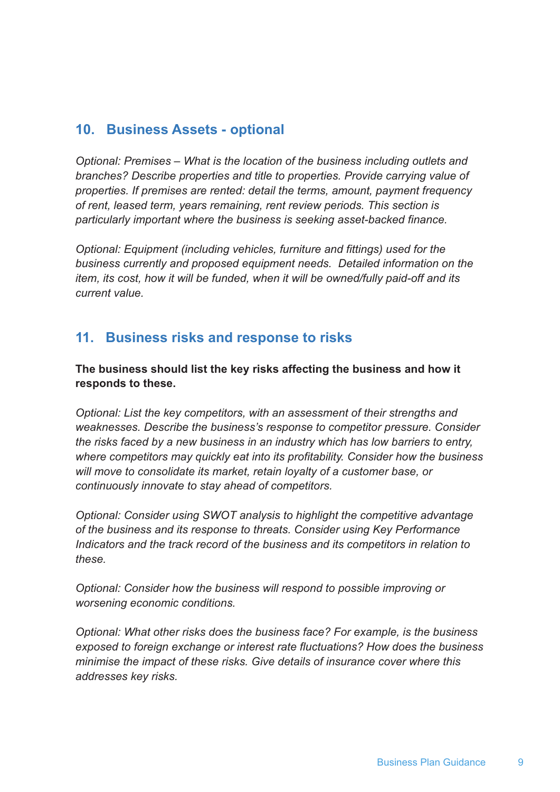### **10. Business Assets - optional**

*Optional: Premises – What is the location of the business including outlets and branches? Describe properties and title to properties. Provide carrying value of properties. If premises are rented: detail the terms, amount, payment frequency of rent, leased term, years remaining, rent review periods. This section is particularly important where the business is seeking asset-backed finance.*

*Optional: Equipment (including vehicles, furniture and fittings) used for the business currently and proposed equipment needs. Detailed information on the item, its cost, how it will be funded, when it will be owned/fully paid-off and its current value.*

### **11. Business risks and response to risks**

**The business should list the key risks affecting the business and how it responds to these.**

*Optional: List the key competitors, with an assessment of their strengths and weaknesses. Describe the business's response to competitor pressure. Consider the risks faced by a new business in an industry which has low barriers to entry, where competitors may quickly eat into its profitability. Consider how the business will move to consolidate its market, retain loyalty of a customer base, or continuously innovate to stay ahead of competitors.*

*Optional: Consider using SWOT analysis to highlight the competitive advantage of the business and its response to threats. Consider using Key Performance Indicators and the track record of the business and its competitors in relation to these.*

*Optional: Consider how the business will respond to possible improving or worsening economic conditions.*

*Optional: What other risks does the business face? For example, is the business exposed to foreign exchange or interest rate fluctuations? How does the business minimise the impact of these risks. Give details of insurance cover where this addresses key risks.*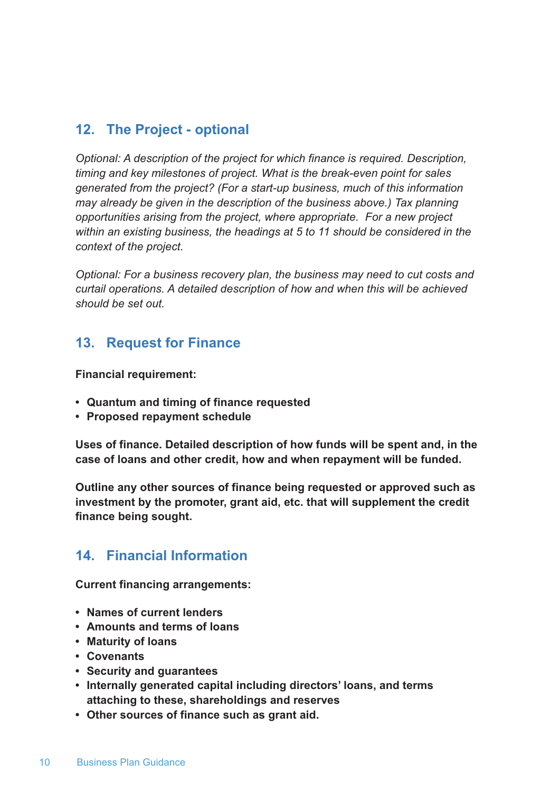## **12. The Project - optional**

*Optional: A description of the project for which finance is required. Description, timing and key milestones of project. What is the break-even point for sales generated from the project? (For a start-up business, much of this information may already be given in the description of the business above.) Tax planning opportunities arising from the project, where appropriate. For a new project within an existing business, the headings at 5 to 11 should be considered in the context of the project.*

*Optional: For a business recovery plan, the business may need to cut costs and curtail operations. A detailed description of how and when this will be achieved should be set out.*

## **13. Request for Finance**

**Financial requirement:**

- **Quantum and timing of finance requested**
- **Proposed repayment schedule**

**Uses of finance. Detailed description of how funds will be spent and, in the case of loans and other credit, how and when repayment will be funded.**

**Outline any other sources of finance being requested or approved such as investment by the promoter, grant aid, etc. that will supplement the credit finance being sought.**

### **14. Financial Information**

**Current financing arrangements:**

- **Names of current lenders**
- **Amounts and terms of loans**
- **Maturity of loans**
- **Covenants**
- **Security and guarantees**
- **Internally generated capital including directors' loans, and terms attaching to these, shareholdings and reserves**
- **Other sources of finance such as grant aid.**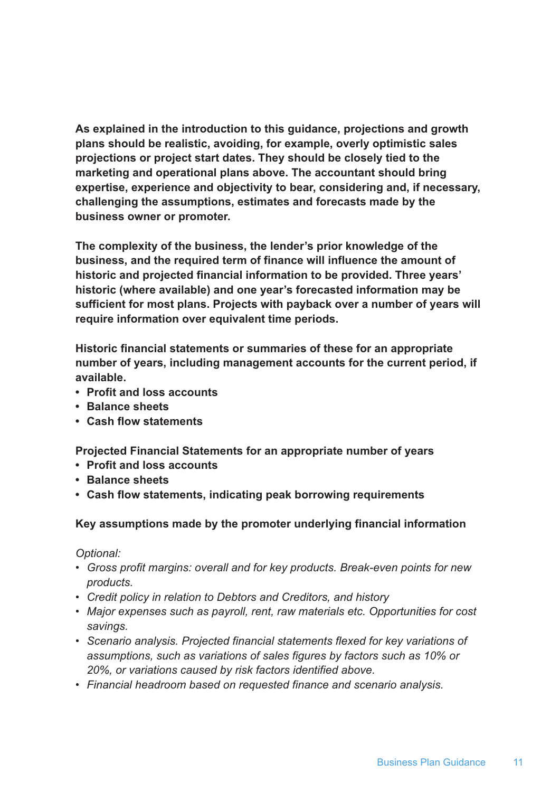**As explained in the introduction to this guidance, projections and growth plans should be realistic, avoiding, for example, overly optimistic sales projections or project start dates. They should be closely tied to the marketing and operational plans above. The accountant should bring expertise, experience and objectivity to bear, considering and, if necessary, challenging the assumptions, estimates and forecasts made by the business owner or promoter.**

**The complexity of the business, the lender's prior knowledge of the business, and the required term of finance will influence the amount of historic and projected financial information to be provided. Three years' historic (where available) and one year's forecasted information may be sufficient for most plans. Projects with payback over a number of years will require information over equivalent time periods.**

**Historic financial statements or summaries of these for an appropriate number of years, including management accounts for the current period, if available.**

- **Profit and loss accounts**
- **Balance sheets**
- **Cash flow statements**

**Projected Financial Statements for an appropriate number of years**

- **Profit and loss accounts**
- **Balance sheets**
- **Cash flow statements, indicating peak borrowing requirements**

#### **Key assumptions made by the promoter underlying financial information**

#### *Optional:*

- *Gross profit margins: overall and for key products. Break-even points for new products.*
- *Credit policy in relation to Debtors and Creditors, and history*
- *Major expenses such as payroll, rent, raw materials etc. Opportunities for cost savings.*
- *Scenario analysis. Projected financial statements flexed for key variations of assumptions, such as variations of sales figures by factors such as 10% or 20%, or variations caused by risk factors identified above.*
- *Financial headroom based on requested finance and scenario analysis.*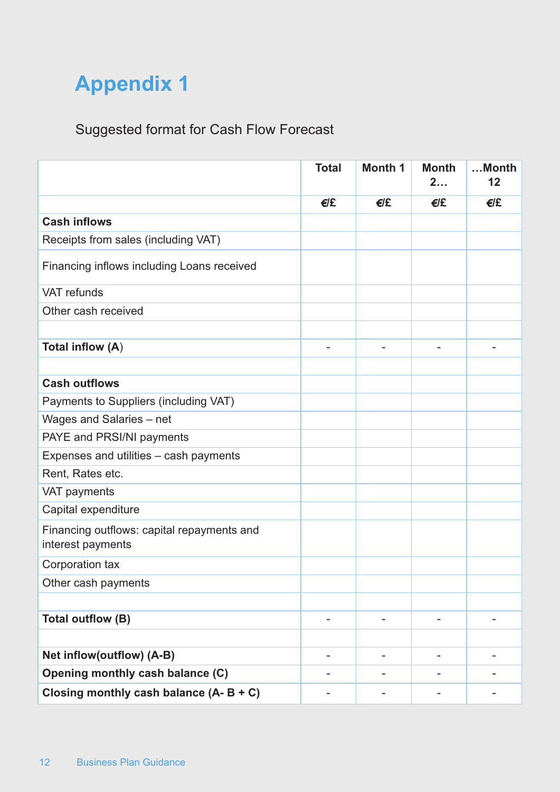## **Appendix 1**

## Suggested format for Cash Flow Forecast

|                                                                 | <b>Total</b> | Month 1 | <b>Month</b><br>2 | Month<br>12 |
|-----------------------------------------------------------------|--------------|---------|-------------------|-------------|
|                                                                 | E            | E/E     | E                 | E/E         |
| <b>Cash inflows</b>                                             |              |         |                   |             |
| Receipts from sales (including VAT)                             |              |         |                   |             |
| Financing inflows including Loans received                      |              |         |                   |             |
| VAT refunds                                                     |              |         |                   |             |
| Other cash received                                             |              |         |                   |             |
|                                                                 |              |         |                   |             |
| Total inflow (A)                                                |              |         |                   |             |
|                                                                 |              |         |                   |             |
| <b>Cash outflows</b>                                            |              |         |                   |             |
| Payments to Suppliers (including VAT)                           |              |         |                   |             |
| Wages and Salaries - net                                        |              |         |                   |             |
| PAYE and PRSI/NI payments                                       |              |         |                   |             |
| Expenses and utilities - cash payments                          |              |         |                   |             |
| Rent, Rates etc.                                                |              |         |                   |             |
| VAT payments                                                    |              |         |                   |             |
| Capital expenditure                                             |              |         |                   |             |
| Financing outflows: capital repayments and<br>interest payments |              |         |                   |             |
| Corporation tax                                                 |              |         |                   |             |
| Other cash payments                                             |              |         |                   |             |
|                                                                 |              |         |                   |             |
| Total outflow (B)                                               |              |         |                   | -           |
|                                                                 |              |         |                   |             |
| Net inflow(outflow) (A-B)                                       | L,           |         |                   |             |
| Opening monthly cash balance (C)                                |              |         |                   |             |
| Closing monthly cash balance $(A - B + C)$                      |              |         |                   |             |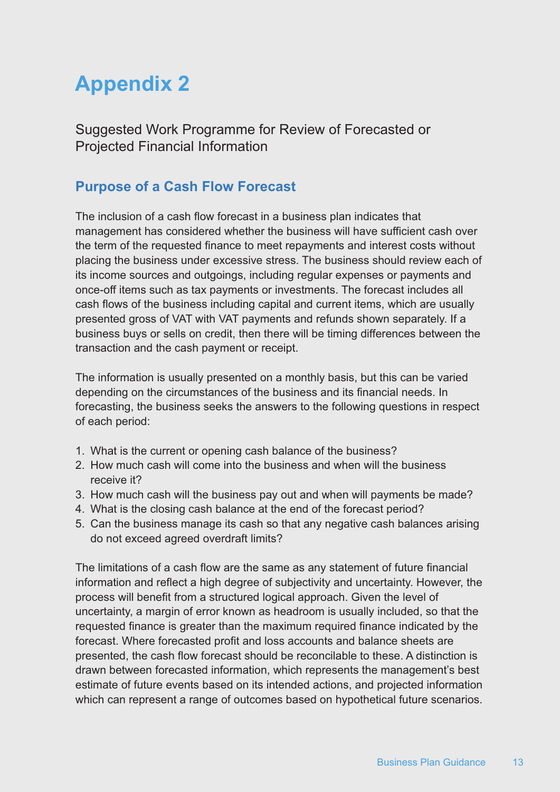## **Appendix 2**

Suggested Work Programme for Review of Forecasted or Projected Financial Information

## **Purpose of a Cash Flow Forecast**

The inclusion of a cash flow forecast in a business plan indicates that management has considered whether the business will have sufficient cash over the term of the requested finance to meet repayments and interest costs without placing the business under excessive stress. The business should review each of its income sources and outgoings, including regular expenses or payments and once-off items such as tax payments or investments. The forecast includes all cash flows of the business including capital and current items, which are usually presented gross of VAT with VAT payments and refunds shown separately. If a business buys or sells on credit, then there will be timing differences between the transaction and the cash payment or receipt.

The information is usually presented on a monthly basis, but this can be varied depending on the circumstances of the business and its financial needs. In forecasting, the business seeks the answers to the following questions in respect of each period:

- 1. What is the current or opening cash balance of the business?
- 2. How much cash will come into the business and when will the business receive it?
- 3. How much cash will the business pay out and when will payments be made?
- 4. What is the closing cash balance at the end of the forecast period?
- 5. Can the business manage its cash so that any negative cash balances arising do not exceed agreed overdraft limits?

The limitations of a cash flow are the same as any statement of future financial information and reflect a high degree of subjectivity and uncertainty. However, the process will benefit from a structured logical approach. Given the level of uncertainty, a margin of error known as headroom is usually included, so that the requested finance is greater than the maximum required finance indicated by the forecast. Where forecasted profit and loss accounts and balance sheets are presented, the cash flow forecast should be reconcilable to these. A distinction is drawn between forecasted information, which represents the management's best estimate of future events based on its intended actions, and projected information which can represent a range of outcomes based on hypothetical future scenarios.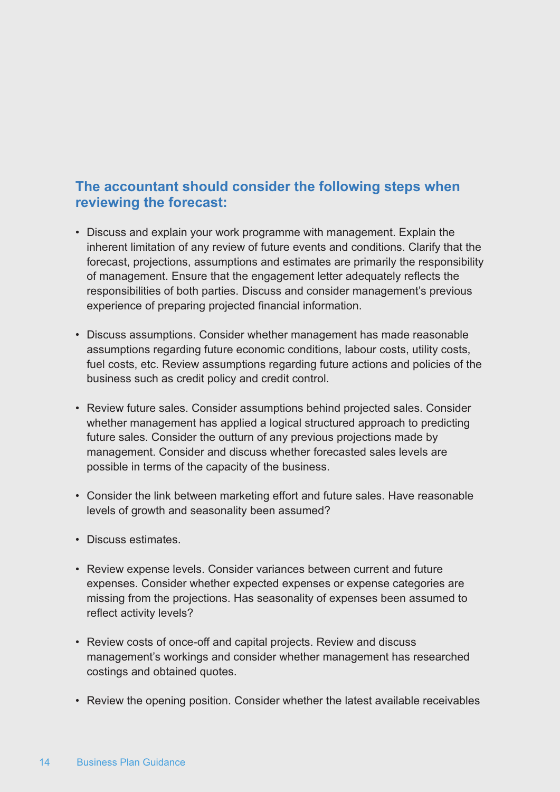### **The accountant should consider the following steps when reviewing the forecast:**

- Discuss and explain your work programme with management. Explain the inherent limitation of any review of future events and conditions. Clarify that the forecast, projections, assumptions and estimates are primarily the responsibility of management. Ensure that the engagement letter adequately reflects the responsibilities of both parties. Discuss and consider management's previous experience of preparing projected financial information.
- Discuss assumptions. Consider whether management has made reasonable assumptions regarding future economic conditions, labour costs, utility costs, fuel costs, etc. Review assumptions regarding future actions and policies of the business such as credit policy and credit control.
- Review future sales. Consider assumptions behind projected sales. Consider whether management has applied a logical structured approach to predicting future sales. Consider the outturn of any previous projections made by management. Consider and discuss whether forecasted sales levels are possible in terms of the capacity of the business.
- Consider the link between marketing effort and future sales. Have reasonable levels of growth and seasonality been assumed?
- Discuss estimates.
- Review expense levels. Consider variances between current and future expenses. Consider whether expected expenses or expense categories are missing from the projections. Has seasonality of expenses been assumed to reflect activity levels?
- Review costs of once-off and capital projects. Review and discuss management's workings and consider whether management has researched costings and obtained quotes.
- Review the opening position. Consider whether the latest available receivables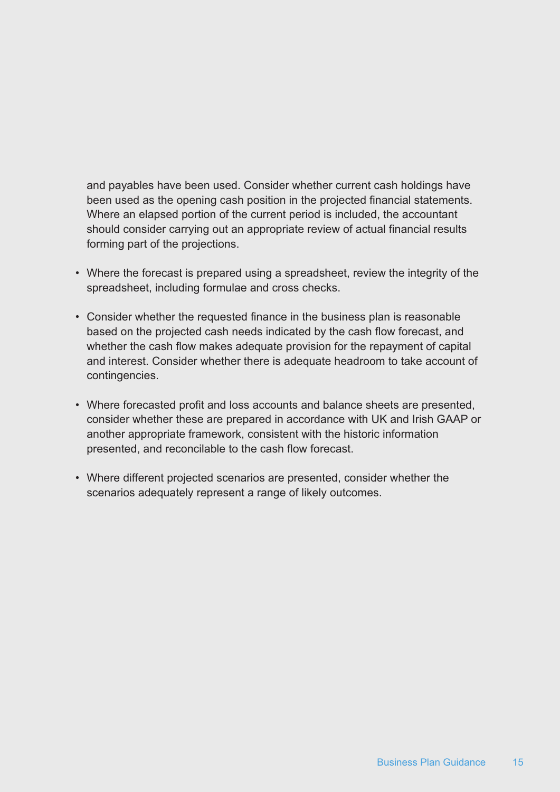and payables have been used. Consider whether current cash holdings have been used as the opening cash position in the projected financial statements. Where an elapsed portion of the current period is included, the accountant should consider carrying out an appropriate review of actual financial results forming part of the projections.

- Where the forecast is prepared using a spreadsheet, review the integrity of the spreadsheet, including formulae and cross checks.
- Consider whether the requested finance in the business plan is reasonable based on the projected cash needs indicated by the cash flow forecast, and whether the cash flow makes adequate provision for the repayment of capital and interest. Consider whether there is adequate headroom to take account of contingencies.
- Where forecasted profit and loss accounts and balance sheets are presented, consider whether these are prepared in accordance with UK and Irish GAAP or another appropriate framework, consistent with the historic information presented, and reconcilable to the cash flow forecast.
- Where different projected scenarios are presented, consider whether the scenarios adequately represent a range of likely outcomes.